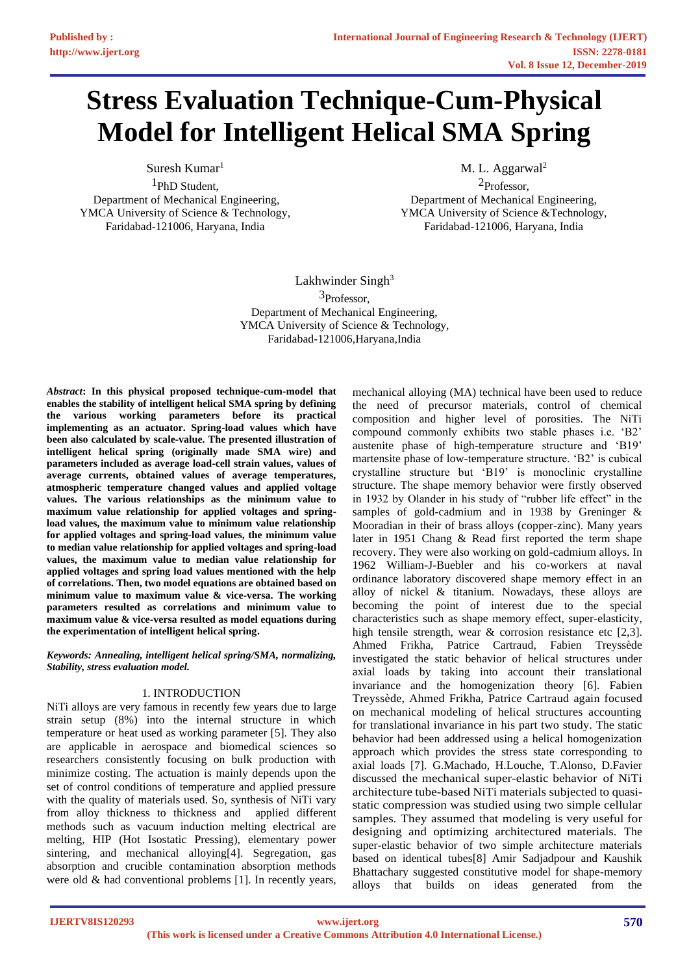# **Stress Evaluation Technique-Cum-Physical Model for Intelligent Helical SMA Spring**

Suresh Kumar<sup>1</sup>

1PhD Student, Department of Mechanical Engineering, YMCA University of Science & Technology, Faridabad-121006, Haryana, India

M. L. Aggarwal<sup>2</sup>

2Professor, Department of Mechanical Engineering, YMCA University of Science &Technology, Faridabad-121006, Haryana, India

Lakhwinder Singh $3$ 3Professor, Department of Mechanical Engineering, YMCA University of Science & Technology, Faridabad-121006,Haryana,India

*Abstract***: In this physical proposed technique-cum-model that enables the stability of intelligent helical SMA spring by defining the various working parameters before its practical implementing as an actuator. Spring-load values which have been also calculated by scale-value. The presented illustration of intelligent helical spring (originally made SMA wire) and parameters included as average load-cell strain values, values of average currents, obtained values of average temperatures, atmospheric temperature changed values and applied voltage values. The various relationships as the minimum value to maximum value relationship for applied voltages and springload values, the maximum value to minimum value relationship for applied voltages and spring-load values, the minimum value to median value relationship for applied voltages and spring-load values, the maximum value to median value relationship for applied voltages and spring load values mentioned with the help of correlations. Then, two model equations are obtained based on minimum value to maximum value & vice-versa. The working parameters resulted as correlations and minimum value to maximum value & vice-versa resulted as model equations during the experimentation of intelligent helical spring.**

*Keywords: Annealing, intelligent helical spring/SMA, normalizing, Stability, stress evaluation model.*

## 1. INTRODUCTION

NiTi alloys are very famous in recently few years due to large strain setup (8%) into the internal structure in which temperature or heat used as working parameter [5]. They also are applicable in aerospace and biomedical sciences so researchers consistently focusing on bulk production with minimize costing. The actuation is mainly depends upon the set of control conditions of temperature and applied pressure with the quality of materials used. So, synthesis of NiTi vary from alloy thickness to thickness and applied different methods such as vacuum induction melting electrical are melting, HIP (Hot Isostatic Pressing), elementary power sintering, and mechanical alloying[4]. Segregation, gas absorption and crucible contamination absorption methods were old & had conventional problems [1]. In recently years, mechanical alloying (MA) technical have been used to reduce the need of precursor materials, control of chemical composition and higher level of porosities. The NiTi compound commonly exhibits two stable phases i.e. 'B2' austenite phase of high-temperature structure and 'B19' martensite phase of low-temperature structure. 'B2' is cubical crystalline structure but 'B19' is monoclinic crystalline structure. The shape memory behavior were firstly observed in 1932 by Olander in his study of "rubber life effect" in the samples of gold-cadmium and in 1938 by Greninger & Mooradian in their of brass alloys (copper-zinc). Many years later in 1951 Chang & Read first reported the term shape recovery. They were also working on gold-cadmium alloys. In 1962 William-J-Buebler and his co-workers at naval ordinance laboratory discovered shape memory effect in an alloy of nickel & titanium. Nowadays, these alloys are becoming the point of interest due to the special characteristics such as shape memory effect, super-elasticity, high tensile strength, wear  $\&$  corrosion resistance etc [2,3]. Ahmed Frikha, Patrice Cartraud, Fabien Treyssède investigated the static behavior of helical structures under axial loads by taking into account their translational invariance and the homogenization theory [6]. Fabien Treyssède, Ahmed Frikha, Patrice Cartraud again focused on mechanical modeling of helical structures accounting for translational invariance in his part two study. The static behavior had been addressed using a helical homogenization approach which provides the stress state corresponding to axial loads [7]. G.Machado, H.Louche, T.Alonso, D.Favier discussed the mechanical super-elastic behavior of NiTi architecture tube-based NiTi materials subjected to quasistatic compression was studied using two simple cellular samples. They assumed that modeling is very useful for designing and optimizing architectured materials. The super-elastic behavior of two simple architecture materials based on identical tubes[8] Amir Sadjadpour and Kaushik Bhattachary suggested constitutive model for shape-memory alloys that builds on ideas generated from the

**IJERTV8IS120293**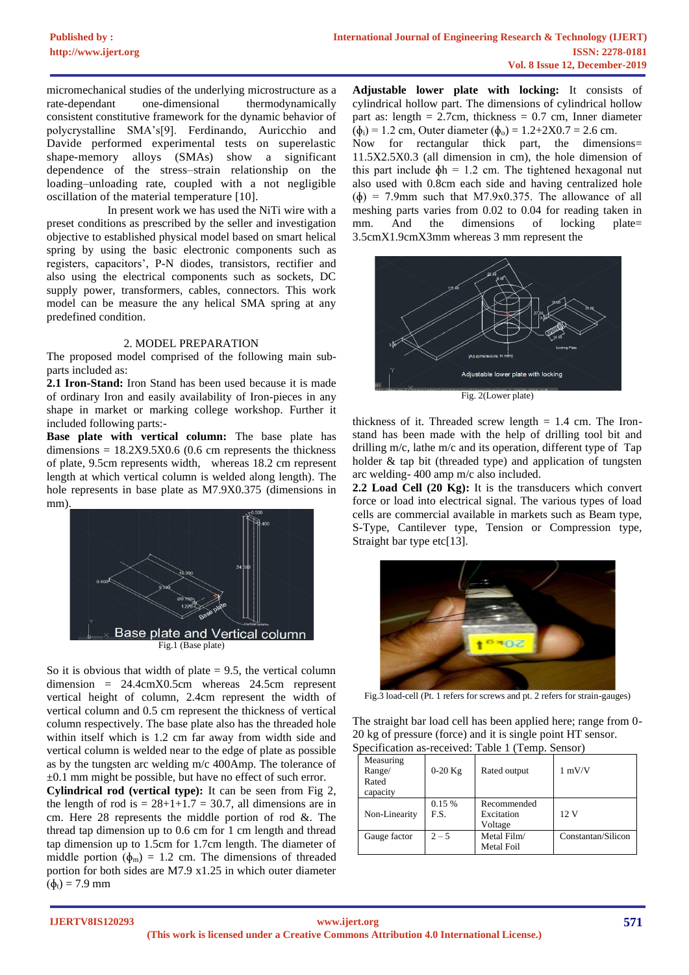micromechanical studies of the underlying microstructure as a rate-dependant one-dimensional thermodynamically consistent constitutive framework for the dynamic behavior of polycrystalline SMA's[9]. Ferdinando, Auricchio and Davide performed experimental tests on superelastic shape-memory alloys (SMAs) show a significant dependence of the stress–strain relationship on the loading–unloading rate, coupled with a not negligible oscillation of the material temperature [10].

 In present work we has used the NiTi wire with a preset conditions as prescribed by the seller and investigation objective to established physical model based on smart helical spring by using the basic electronic components such as registers, capacitors', P-N diodes, transistors, rectifier and also using the electrical components such as sockets, DC supply power, transformers, cables, connectors. This work model can be measure the any helical SMA spring at any predefined condition.

#### 2. MODEL PREPARATION

The proposed model comprised of the following main subparts included as:

**2.1 Iron-Stand:** Iron Stand has been used because it is made of ordinary Iron and easily availability of Iron-pieces in any shape in market or marking college workshop. Further it included following parts:-

**Base plate with vertical column:** The base plate has dimensions =  $18.2X9.5X0.6$  (0.6 cm represents the thickness of plate, 9.5cm represents width, whereas 18.2 cm represent length at which vertical column is welded along length). The hole represents in base plate as M7.9X0.375 (dimensions in mm).



So it is obvious that width of plate  $= 9.5$ , the vertical column dimension = 24.4cmX0.5cm whereas 24.5cm represent vertical height of column, 2.4cm represent the width of vertical column and 0.5 cm represent the thickness of vertical column respectively. The base plate also has the threaded hole within itself which is 1.2 cm far away from width side and vertical column is welded near to the edge of plate as possible as by the tungsten arc welding m/c 400Amp. The tolerance of  $\pm 0.1$  mm might be possible, but have no effect of such error.

**Cylindrical rod (vertical type):** It can be seen from Fig 2, the length of rod is  $= 28+1+1.7 = 30.7$ , all dimensions are in cm. Here 28 represents the middle portion of rod &. The thread tap dimension up to 0.6 cm for 1 cm length and thread tap dimension up to 1.5cm for 1.7cm length. The diameter of middle portion ( $\phi_m$ ) = 1.2 cm. The dimensions of threaded portion for both sides are M7.9 x1.25 in which outer diameter  $(\phi_t) = 7.9$  mm

**Adjustable lower plate with locking:** It consists of cylindrical hollow part. The dimensions of cylindrical hollow part as: length  $= 2.7$ cm, thickness  $= 0.7$  cm, Inner diameter  $(\phi_i) = 1.2$  cm, Outer diameter  $(\phi_0) = 1.2 + 2X0.7 = 2.6$  cm.

Now for rectangular thick part, the dimensions= 11.5X2.5X0.3 (all dimension in cm), the hole dimension of this part include  $\phi h = 1.2$  cm. The tightened hexagonal nut also used with 0.8cm each side and having centralized hole  $(\phi)$  = 7.9mm such that M7.9x0.375. The allowance of all meshing parts varies from 0.02 to 0.04 for reading taken in mm. And the dimensions of locking plate= 3.5cmX1.9cmX3mm whereas 3 mm represent the



thickness of it. Threaded screw length  $= 1.4$  cm. The Ironstand has been made with the help of drilling tool bit and drilling m/c, lathe m/c and its operation, different type of Tap holder & tap bit (threaded type) and application of tungsten arc welding- 400 amp m/c also included.

**2.2 Load Cell (20 Kg):** It is the transducers which convert force or load into electrical signal. The various types of load cells are commercial available in markets such as Beam type, S-Type, Cantilever type, Tension or Compression type, Straight bar type etc[13].



Fig.3 load-cell (Pt. 1 refers for screws and pt. 2 refers for strain-gauges)

The straight bar load cell has been applied here; range from 0- 20 kg of pressure (force) and it is single point HT sensor. Specification as-received: Table 1 (Temp. Sensor)

| Measuring<br>Range/<br>Rated<br>capacity | $0-20$ Kg     | Rated output                         | $1 \text{ mV/V}$   |
|------------------------------------------|---------------|--------------------------------------|--------------------|
| Non-Linearity                            | 0.15%<br>E.S. | Recommended<br>Excitation<br>Voltage | 12 V               |
| Gauge factor                             | $2 - 5$       | Metal Film/<br><b>Metal Foil</b>     | Constantan/Silicon |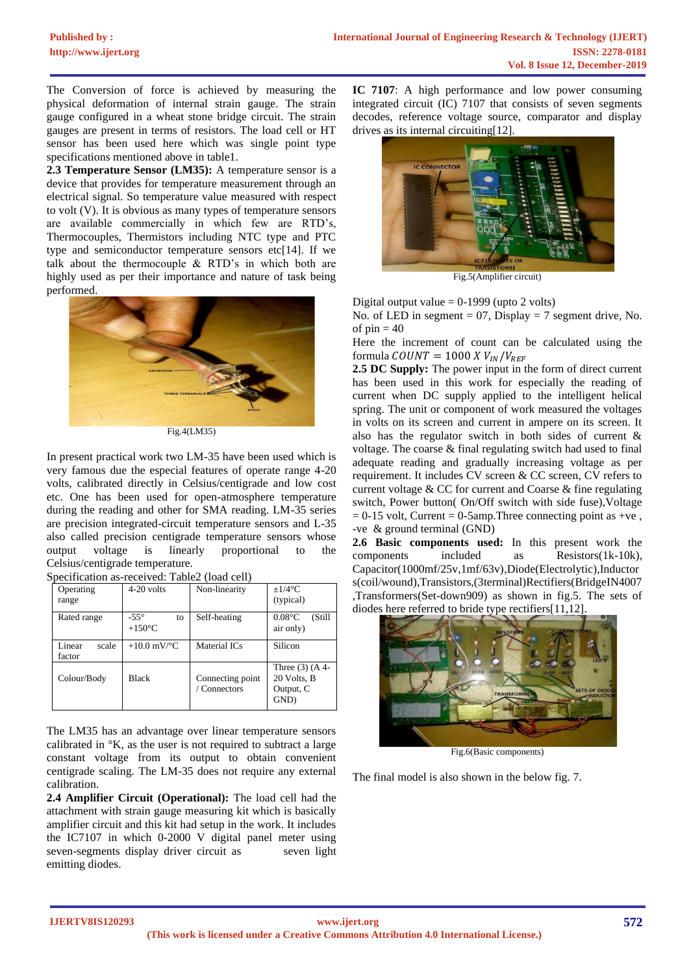The Conversion of force is achieved by measuring the physical deformation of internal strain gauge. The strain gauge configured in a wheat stone bridge circuit. The strain gauges are present in terms of resistors. The load cell or HT sensor has been used here which was single point type specifications mentioned above in table1.

**2.3 Temperature Sensor (LM35):** A temperature sensor is a device that provides for temperature measurement through an electrical signal. So temperature value measured with respect to volt (V). It is obvious as many types of temperature sensors are available commercially in which few are RTD's, Thermocouples, Thermistors including NTC type and PTC type and semiconductor temperature sensors etc[14]. If we talk about the thermocouple & RTD's in which both are highly used as per their importance and nature of task being performed.



Fig.4(LM35)

In present practical work two LM-35 have been used which is very famous due the especial features of operate range 4-20 volts, calibrated directly in Celsius/centigrade and low cost etc. One has been used for open-atmosphere temperature during the reading and other for SMA reading. LM-35 series are precision integrated-circuit temperature sensors and L-35 also called precision centigrade temperature sensors whose output voltage is linearly proportional to the Celsius/centigrade temperature.

| Operating<br>range        | $4-20$ volts                          | Non-linearity                    | $+1/4$ °C<br>(typical)                                |
|---------------------------|---------------------------------------|----------------------------------|-------------------------------------------------------|
| Rated range               | $-55^\circ$<br>to<br>$+150^{\circ}$ C | Self-heating                     | $0.08\degree C$<br>(Still)<br>air only)               |
| Linear<br>scale<br>factor | $+10.0$ mV/ $^{\circ}$ C              | Material ICs                     | Silicon                                               |
| Colour/Body               | <b>Black</b>                          | Connecting point<br>/ Connectors | Three $(3)$ (A 4-<br>20 Volts, B<br>Output, C<br>GND) |

|  | Specification as-received: Table2 (load cell) |
|--|-----------------------------------------------|

The LM35 has an advantage over linear temperature sensors calibrated in °K, as the user is not required to subtract a large constant voltage from its output to obtain convenient centigrade scaling. The LM-35 does not require any external calibration.

**2.4 Amplifier Circuit (Operational):** The load cell had the attachment with strain gauge measuring kit which is basically amplifier circuit and this kit had setup in the work. It includes the IC7107 in which 0-2000 V digital panel meter using seven-segments display driver circuit as seven light emitting diodes.

**IC 7107**: A high performance and low power consuming integrated circuit (IC) 7107 that consists of seven segments decodes, reference voltage source, comparator and display drives as its internal circuiting[12].



Fig.5(Amplifier circuit)

Digital output value  $= 0$ -1999 (upto 2 volts) No. of LED in segment  $= 07$ , Display  $= 7$  segment drive, No. of  $pin = 40$ 

Here the increment of count can be calculated using the formula  $COUNT = 1000 X V_{IN}/V_{REF}$ 

**2.5 DC Supply:** The power input in the form of direct current has been used in this work for especially the reading of current when DC supply applied to the intelligent helical spring. The unit or component of work measured the voltages in volts on its screen and current in ampere on its screen. It also has the regulator switch in both sides of current & voltage. The coarse & final regulating switch had used to final adequate reading and gradually increasing voltage as per requirement. It includes CV screen & CC screen, CV refers to current voltage & CC for current and Coarse & fine regulating switch, Power button( On/Off switch with side fuse),Voltage  $= 0-15$  volt, Current  $= 0-5$ amp. Three connecting point as +ve, -ve & ground terminal (GND)

**2.6 Basic components used:** In this present work the components included as Resistors(1k-10k), Capacitor(1000mf/25v,1mf/63v),Diode(Electrolytic),Inductor s(coil/wound),Transistors,(3terminal)Rectifiers(BridgeIN4007 ,Transformers(Set-down909) as shown in fig.5. The sets of diodes here referred to bride type rectifiers[11,12].



Fig.6(Basic components)

The final model is also shown in the below fig. 7.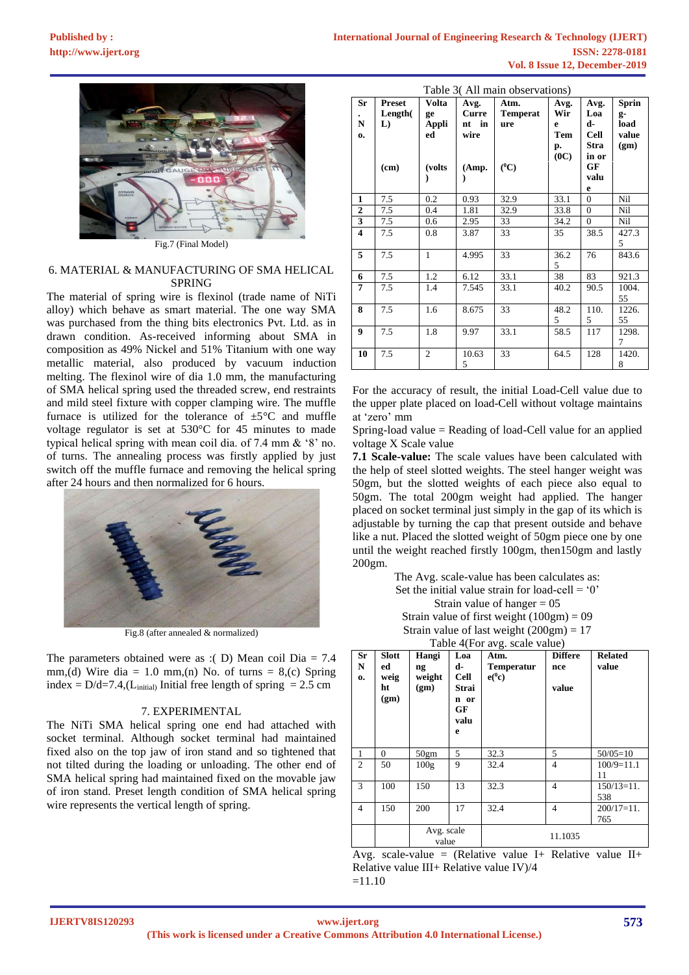

#### 6. MATERIAL & MANUFACTURING OF SMA HELICAL SPRING

The material of spring wire is flexinol (trade name of NiTi alloy) which behave as smart material. The one way SMA was purchased from the thing bits electronics Pvt. Ltd. as in drawn condition. As-received informing about SMA in composition as 49% Nickel and 51% Titanium with one way metallic material, also produced by vacuum induction melting. The flexinol wire of dia 1.0 mm, the manufacturing of SMA helical spring used the threaded screw, end restraints and mild steel fixture with copper clamping wire. The muffle furnace is utilized for the tolerance of  $\pm 5^{\circ}$ C and muffle voltage regulator is set at 530°C for 45 minutes to made typical helical spring with mean coil dia. of 7.4 mm & '8' no. of turns. The annealing process was firstly applied by just switch off the muffle furnace and removing the helical spring after 24 hours and then normalized for 6 hours.



Fig.8 (after annealed & normalized)

The parameters obtained were as :( D) Mean coil Dia =  $7.4$ mm,(d) Wire dia = 1.0 mm,(n) No. of turns = 8,(c) Spring index =  $D/d=7.4$ , (L<sub>initial</sub>) Initial free length of spring = 2.5 cm

#### 7. EXPERIMENTAL

The NiTi SMA helical spring one end had attached with socket terminal. Although socket terminal had maintained fixed also on the top jaw of iron stand and so tightened that not tilted during the loading or unloading. The other end of SMA helical spring had maintained fixed on the movable jaw of iron stand. Preset length condition of SMA helical spring wire represents the vertical length of spring.

|                                 | Table 3(All main observations) |                            |                                |                                |                                       |                                                          |                                             |
|---------------------------------|--------------------------------|----------------------------|--------------------------------|--------------------------------|---------------------------------------|----------------------------------------------------------|---------------------------------------------|
| Sr<br>${\bf N}$<br>$\mathbf{0}$ | Preset<br>Length(<br>L)        | Volta<br>ge<br>Appli<br>ed | Avg.<br>Curre<br>nt in<br>wire | Atm.<br><b>Temperat</b><br>ure | Avg.<br>Wir<br>e<br>Tem<br>p.<br>(0C) | Avg.<br>Loa<br>d-<br><b>Cell</b><br><b>Stra</b><br>in or | <b>Sprin</b><br>g-<br>load<br>value<br>(gm) |
|                                 | (cm)                           | (volts)                    | (Amp.                          | $(^0C)$                        |                                       | GF<br>valu<br>e                                          |                                             |
| $\mathbf{1}$                    | 7.5                            | 0.2                        | 0.93                           | 32.9                           | 33.1                                  | $\Omega$                                                 | Nil                                         |
| $\overline{2}$                  | 7.5                            | 0.4                        | 1.81                           | 32.9                           | 33.8                                  | $\theta$                                                 | Nil                                         |
| $\overline{\mathbf{3}}$         | 7.5                            | 0.6                        | 2.95                           | 33                             | 34.2                                  | $\mathbf{0}$                                             | Nil                                         |
| $\overline{\mathbf{4}}$         | 7.5                            | 0.8                        | 3.87                           | 33                             | 35                                    | 38.5                                                     | 427.3<br>5                                  |
| 5                               | 7.5                            | 1                          | 4.995                          | 33                             | 36.2<br>5                             | 76                                                       | 843.6                                       |
| 6                               | 7.5                            | 1.2                        | 6.12                           | 33.1                           | 38                                    | 83                                                       | 921.3                                       |
| 7                               | 7.5                            | 1.4                        | 7.545                          | 33.1                           | 40.2                                  | 90.5                                                     | 1004.<br>55                                 |
| 8                               | 7.5                            | 1.6                        | 8.675                          | 33                             | 48.2<br>5                             | 110.<br>5                                                | 1226.<br>55                                 |
| 9                               | 7.5                            | 1.8                        | 9.97                           | 33.1                           | 58.5                                  | 117                                                      | 1298.<br>7                                  |
| 10                              | 7.5                            | $\overline{2}$             | 10.63<br>5                     | 33                             | 64.5                                  | 128                                                      | 1420.<br>8                                  |

For the accuracy of result, the initial Load-Cell value due to the upper plate placed on load-Cell without voltage maintains at 'zero' mm

Spring-load value = Reading of load-Cell value for an applied voltage X Scale value

**7.1 Scale-value:** The scale values have been calculated with the help of steel slotted weights. The steel hanger weight was 50gm, but the slotted weights of each piece also equal to 50gm. The total 200gm weight had applied. The hanger placed on socket terminal just simply in the gap of its which is adjustable by turning the cap that present outside and behave like a nut. Placed the slotted weight of 50gm piece one by one until the weight reached firstly 100gm, then150gm and lastly 200gm.

> The Avg. scale-value has been calculates as: Set the initial value strain for load-cell =  $0'$ Strain value of hanger  $= 05$ Strain value of first weight  $(100gm) = 09$ Strain value of last weight  $(200gm) = 17$

|  |  | am vance of fast weight $(200\text{g})$ m $=$ |  |
|--|--|-----------------------------------------------|--|
|  |  | Table 4(For avg. scale value)                 |  |

| <b>Sr</b><br>N<br>$\mathbf{0}$ | <b>Slott</b><br>ed<br>weig<br>ht<br>(gm) | Hangi<br>ng<br>weight<br>(gm) | Loa<br>d-<br><b>Cell</b><br>Strai<br>n or<br>GF<br>valu<br>e | Atm.<br><b>Temperatur</b><br>$e(^0c)$ | <b>Differe</b><br>nce<br>value | <b>Related</b><br>value |
|--------------------------------|------------------------------------------|-------------------------------|--------------------------------------------------------------|---------------------------------------|--------------------------------|-------------------------|
| 1                              | $\mathbf{0}$                             | 50gm                          | 5                                                            | 32.3                                  | 5                              | $50/05=10$              |
| $\overline{c}$                 | 50                                       | 100g                          | 9                                                            | 32.4                                  | 4                              | $100/9=11.1$<br>11      |
| 3                              | 100                                      | 150                           | 13                                                           | 32.3                                  | 4                              | $150/13=11$ .<br>538    |
| 4                              | 150                                      | 200                           | 17                                                           | 32.4                                  | 4                              | $200/17=11$ .<br>765    |
|                                | $\sim$                                   | Avg. scale<br>value<br>$\sim$ |                                                              |                                       | 11.1035<br>.                   | $\sim$<br>$-$           |

Avg. scale-value = (Relative value I+ Relative value II+ Relative value III+ Relative value IV)/4  $=11.10$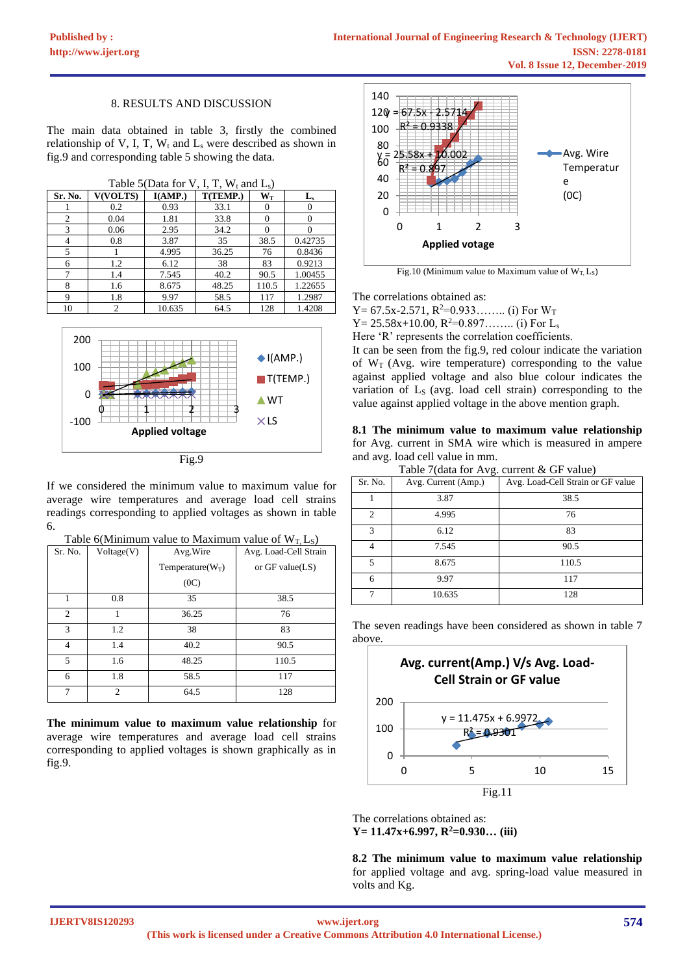#### 8. RESULTS AND DISCUSSION

The main data obtained in table 3, firstly the combined relationship of V, I, T,  $W_t$  and  $L_s$  were described as shown in fig.9 and corresponding table 5 showing the data.

Table 5(Data for V, I, T,  $W_t$  and  $L_s$ )

| Sr. No.        | <b>V(VOLTS)</b> | I(AMP.) | T(TEMP.) | $\mathbf{W_{T}}$ | $L_{s}$  |
|----------------|-----------------|---------|----------|------------------|----------|
|                | 0.2             | 0.93    | 33.1     |                  |          |
| $\overline{c}$ | 0.04            | 1.81    | 33.8     |                  | $\theta$ |
| 3              | 0.06            | 2.95    | 34.2     |                  |          |
| 4              | 0.8             | 3.87    | 35       | 38.5             | 0.42735  |
| 5              |                 | 4.995   | 36.25    | 76               | 0.8436   |
| 6              | 1.2             | 6.12    | 38       | 83               | 0.9213   |
| $\mathcal{I}$  | 1.4             | 7.545   | 40.2     | 90.5             | 1.00455  |
| 8              | 1.6             | 8.675   | 48.25    | 110.5            | 1.22655  |
| 9              | 1.8             | 9.97    | 58.5     | 117              | 1.2987   |
| 10             |                 | 10.635  | 64.5     | 128              | 1.4208   |



If we considered the minimum value to maximum value for average wire temperatures and average load cell strains readings corresponding to applied voltages as shown in table 6.

| Sr. No. | Voltage(V)     | $14010$ overminimum value to maximum value of $11.237$<br>Avg. Wire | Avg. Load-Cell Strain |
|---------|----------------|---------------------------------------------------------------------|-----------------------|
|         |                | Temperature( $W_T$ )                                                | or GF value(LS)       |
|         |                | (0C)                                                                |                       |
|         | 0.8            | 35                                                                  | 38.5                  |
| 2       |                | 36.25                                                               | 76                    |
| 3       | 1.2            | 38                                                                  | 83                    |
| 4       | 1.4            | 40.2                                                                | 90.5                  |
| 5       | 1.6            | 48.25                                                               | 110.5                 |
| 6       | 1.8            | 58.5                                                                | 117                   |
|         | $\mathfrak{D}$ | 64.5                                                                | 128                   |

| Table 6(Minimum value to Maximum value of $W_T$ , L <sub>s</sub> ) |  |  |
|--------------------------------------------------------------------|--|--|
|--------------------------------------------------------------------|--|--|

**The minimum value to maximum value relationship** for average wire temperatures and average load cell strains corresponding to applied voltages is shown graphically as in fig.9.



Fig.10 (Minimum value to Maximum value of  $W_T L_S$ )

The correlations obtained as:

Y = 67.5x-2.571,  $R^2$  = 0.933…….. (i) For  $W_T$  $Y = 25.58x+10.00$ ,  $R^2=0.897$ ……... (i) For L<sub>s</sub> Here 'R' represents the correlation coefficients.

It can be seen from the fig.9, red colour indicate the variation of  $W_T$  (Avg. wire temperature) corresponding to the value against applied voltage and also blue colour indicates the variation of  $L<sub>S</sub>$  (avg. load cell strain) corresponding to the value against applied voltage in the above mention graph.

**8.1 The minimum value to maximum value relationship**  for Avg. current in SMA wire which is measured in ampere and avg. load cell value in mm.  $T = 1, 1, 2, 7, 4, ...$ 

|         | Table $/(a$ at $a$ for Avg. current $\alpha$ GP value) |                                   |  |  |  |  |
|---------|--------------------------------------------------------|-----------------------------------|--|--|--|--|
| Sr. No. | Avg. Current (Amp.)                                    | Avg. Load-Cell Strain or GF value |  |  |  |  |
|         | 3.87                                                   | 38.5                              |  |  |  |  |
| 2       | 4.995                                                  | 76                                |  |  |  |  |
| 3       | 6.12                                                   | 83                                |  |  |  |  |
|         | 7.545                                                  | 90.5                              |  |  |  |  |
| 5       | 8.675                                                  | 110.5                             |  |  |  |  |
| 6       | 9.97                                                   | 117                               |  |  |  |  |
|         | 10.635                                                 | 128                               |  |  |  |  |

The seven readings have been considered as shown in table 7 above.



The correlations obtained as: **Y= 11.47x+6.997, R<sup>2</sup>=0.930… (iii)**

**8.2 The minimum value to maximum value relationship**  for applied voltage and avg. spring-load value measured in volts and Kg.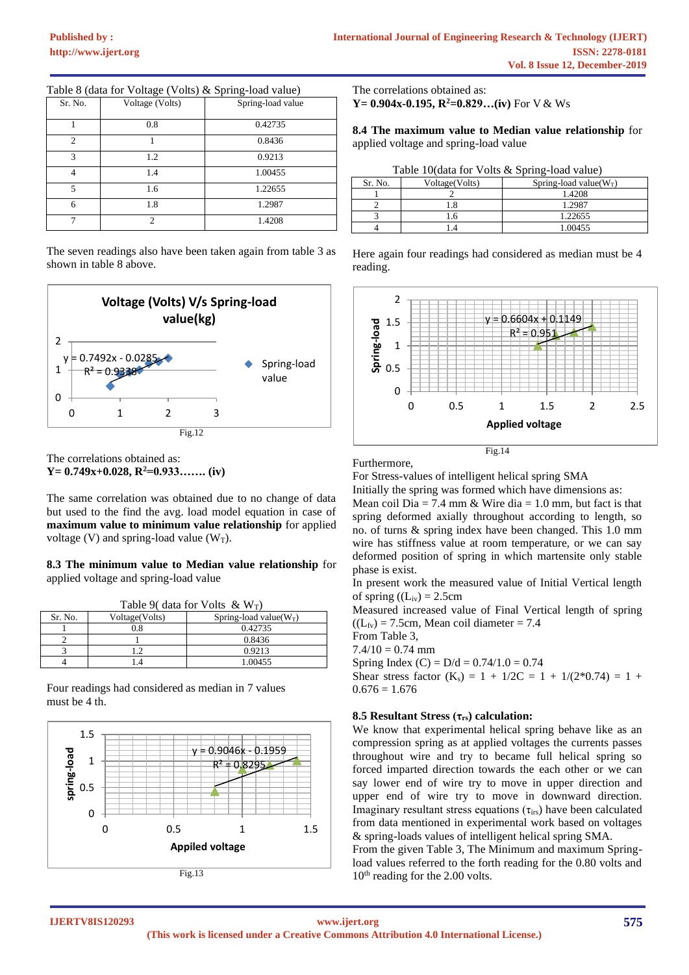| Sr. No.        | Voltage (Volts) | Spring-load value |
|----------------|-----------------|-------------------|
|                | 0.8             | 0.42735           |
| $\overline{c}$ |                 | 0.8436            |
| $\mathcal{R}$  | 1.2             | 0.9213            |
|                | 1.4             | 1.00455           |
| 5              | 1.6             | 1.22655           |
| 6              | 1.8             | 1.2987            |
| ⇁              | $\mathcal{D}$   | 1.4208            |

Table 8 (data for Voltage (Volts) & Spring-load value)

The seven readings also have been taken again from table 3 as shown in table 8 above.



The correlations obtained as: **Y= 0.749x+0.028, R<sup>2</sup>=0.933……. (iv)**

The same correlation was obtained due to no change of data but used to the find the avg. load model equation in case of **maximum value to minimum value relationship** for applied voltage (V) and spring-load value ( $W_T$ ).

#### **8.3 The minimum value to Median value relationship** for applied voltage and spring-load value

|  | Table 9( data for Volts $\&$ W <sub>T</sub> ) |  |  |  |  |
|--|-----------------------------------------------|--|--|--|--|
|--|-----------------------------------------------|--|--|--|--|

| Sr. No. | Voltage(Volts) | Spring-load value( $W_T$ ) |  |  |
|---------|----------------|----------------------------|--|--|
|         | $_{0.8}$       | 0.42735                    |  |  |
|         |                | 0.8436                     |  |  |
|         |                | 0.9213                     |  |  |
|         | -4             | 1.00455                    |  |  |

Four readings had considered as median in 7 values must be 4 th.



The correlations obtained as:

**Y** = 0.904x-0.195,  $R^2$  = 0.829…(iv) For V & Ws

**8.4 The maximum value to Median value relationship** for applied voltage and spring-load value

|  |  |  |  | Table 10(data for Volts & Spring-load value) |
|--|--|--|--|----------------------------------------------|
|--|--|--|--|----------------------------------------------|

| Sr. No. | Voltage(Volts) | Spring-load value( $W_T$ ) |
|---------|----------------|----------------------------|
|         |                | 1.4208                     |
|         |                | 1.2987                     |
|         |                | 1.22655                    |
|         |                | 1.00455                    |

Here again four readings had considered as median must be 4 reading.



Furthermore,

For Stress-values of intelligent helical spring SMA

Initially the spring was formed which have dimensions as:

Mean coil Dia = 7.4 mm & Wire dia = 1.0 mm, but fact is that spring deformed axially throughout according to length, so no. of turns & spring index have been changed. This 1.0 mm wire has stiffness value at room temperature, or we can say deformed position of spring in which martensite only stable phase is exist.

In present work the measured value of Initial Vertical length of spring  $((L_{iv}) = 2.5cm)$ 

Measured increased value of Final Vertical length of spring  $((L_{fv}) = 7.5cm$ , Mean coil diameter = 7.4

From Table 3,

 $7.4/10 = 0.74$  mm

Spring Index (C) =  $D/d = 0.74/1.0 = 0.74$ 

Shear stress factor  $(K_s) = 1 + 1/2C = 1 + 1/(2*0.74) = 1 +$  $0.676 = 1.676$ 

#### **8.5 Resultant Stress (τrs) calculation:**

We know that experimental helical spring behave like as an compression spring as at applied voltages the currents passes throughout wire and try to became full helical spring so forced imparted direction towards the each other or we can say lower end of wire try to move in upper direction and upper end of wire try to move in downward direction. Imaginary resultant stress equations  $(\tau_{\text{irs}})$  have been calculated from data mentioned in experimental work based on voltages & spring-loads values of intelligent helical spring SMA.

From the given Table 3, The Minimum and maximum Springload values referred to the forth reading for the 0.80 volts and  $10<sup>th</sup>$  reading for the 2.00 volts.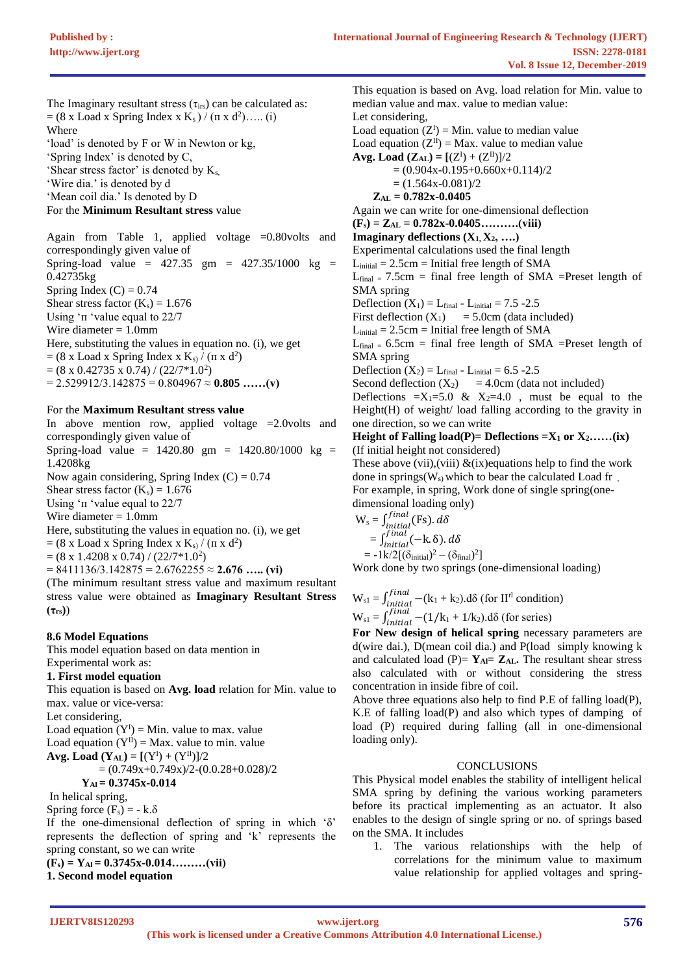The Imaginary resultant stress  $(\tau_{irs})$  can be calculated as:  $= (8 \times \text{Load} \times \text{Spring Index} \times \text{K}_s) / (\pi \times d^2) \dots (i)$ Where 'load' is denoted by F or W in Newton or kg,

'Spring Index' is denoted by C, 'Shear stress factor' is denoted by  $K_s$ ,

'Wire dia.' is denoted by d

'Mean coil dia.' Is denoted by D

# For the **Minimum Resultant stress** value

Again from Table 1, applied voltage  $=0.80$ volts and correspondingly given value of Spring-load value =  $427.35$  gm =  $427.35/1000$  kg = 0.42735kg Spring Index  $(C) = 0.74$ Shear stress factor  $(K_s) = 1.676$ Using ' $\pi$  'value equal to 22/7 Wire diameter = 1.0mm Here, substituting the values in equation no. (i), we get  $= (8 \times \text{Load} \times \text{Spring Index} \times \text{K}_s) / (\pi \times d^2)$  $=(8 \times 0.42735 \times 0.74) / (22/7*1.0^2)$  $= 2.529912/3.142875 = 0.804967 \approx 0.805$  ......(v)

For the **Maximum Resultant stress value**

In above mention row, applied voltage =2.0volts and correspondingly given value of Spring-load value =  $1420.80 \text{ gm} = 1420.80/1000 \text{ kg} =$ 1.4208kg Now again considering, Spring Index  $(C) = 0.74$ Shear stress factor  $(K_s) = 1.676$ Using ' $\pi$  'value equal to 22/7 Wire diameter  $= 1.0$ mm Here, substituting the values in equation no. (i), we get  $= (8 \times \text{Load} \times \text{Spring Index} \times \text{K}_s) / (\pi \times d^2)$  $=(8 \times 1.4208 \times 0.74) / (22/7*1.0^2)$  $= 8411136/3.142875 = 2.6762255 \approx 2.676$  …… (vi) (The minimum resultant stress value and maximum resultant stress value were obtained as **Imaginary Resultant Stress** 

**(τrs)**)

## **8.6 Model Equations**

This model equation based on data mention in

# Experimental work as:

**1. First model equation**

This equation is based on **Avg. load** relation for Min. value to max. value or vice-versa:

Let considering,

Load equation  $(Y^I) = Min$ . value to max. value

Load equation  $(Y^{II})$  = Max. value to min. value

**Avg. Load**  $(Y_{AL}) = [(Y^{I}) + (Y^{II})]/2$ 

$$
= (0.749x + 0.749x)/2 - (0.0.28 + 0.028)/2
$$

$$
Y_{\rm Al} = 0.3745x - 0.014
$$

In helical spring,

Spring force  $(F_s) = -k.\delta$ 

If the one-dimensional deflection of spring in which 'δ' represents the deflection of spring and 'k' represents the spring constant, so we can write

 $(F_s) = Y_{Al} = 0.3745x - 0.014$ ………(vii)

**1. Second model equation**

This equation is based on Avg. load relation for Min. value to median value and max. value to median value: Let considering, Load equation  $(Z^I)$  = Min. value to median value Load equation  $(Z^{II})$  = Max. value to median value **Avg. Load**  $(Z_{AL}) = [(Z^{I}) + (Z^{II})]/2$  $=(0.904x-0.195+0.660x+0.114)/2$  **=** (1.564x-0.081)/2  **ZAL = 0.782x-0.0405** Again we can write for one-dimensional deflection  $(\mathbf{F}_s) = \mathbf{Z}_{AL} = 0.782\mathbf{x} - 0.0405 \dots \dots \dots (viii)$ **Imaginary deflections (X1, X2, ….)** Experimental calculations used the final length  $L<sub>initial</sub> = 2.5cm = Initial free length of SMA$  $L_{final}$  = 7.5cm = final free length of SMA =Preset length of SMA spring Deflection  $(X_1) = L_{final} - L_{initial} = 7.5 - 2.5$ First deflection  $(X_1) = 5.0$ cm (data included)  $L<sub>initial</sub> = 2.5cm = Initial free length of SMA$  $L_{final} = 6.5$ cm = final free length of SMA =Preset length of SMA spring Deflection  $(X_2) = L_{final} - L_{initial} = 6.5 - 2.5$ Second deflection  $(X_2) = 4.0cm$  (data not included) Deflections  $=X_1=5.0 \& X_2=4.0$ , must be equal to the Height(H) of weight/ load falling according to the gravity in one direction, so we can write

### **Height of Falling load(P)= Deflections =** $X_1$  **or**  $X_2$ **<b>……(ix)** (If initial height not considered)

These above (vii),(viii)  $&$  (ix) equations help to find the work done in springs( $W_s$ ) which to bear the calculated Load fr, For example, in spring, Work done of single spring(onedimensional loading only)

$$
W_s = \int_{initial}^{final} (Fs). d\delta
$$
  
=  $\int_{initial}^{final} (-k. \delta). d\delta$   
=  $-1k/2[(\delta_{initial})^2 - (\delta_{final})^2]$ 

Work done by two springs (one-dimensional loading)

$$
W_{s1} = \int_{initial}^{final} -(k_1 + k_2) \, d\delta \text{ (for IIrl condition)}
$$
  

$$
W_{s1} = \int_{initial}^{final} -(1/k_1 + 1/k_2) \, d\delta \text{ (for series)}
$$

**For New design of helical spring** necessary parameters are d(wire dai.), D(mean coil dia.) and P(load simply knowing k and calculated load  $(P) = Y_{AI} = Z_{AL}$ . The resultant shear stress also calculated with or without considering the stress concentration in inside fibre of coil.

Above three equations also help to find P.E of falling load(P), K.E of falling load(P) and also which types of damping of load (P) required during falling (all in one-dimensional loading only).

#### **CONCLUSIONS**

This Physical model enables the stability of intelligent helical SMA spring by defining the various working parameters before its practical implementing as an actuator. It also enables to the design of single spring or no. of springs based on the SMA. It includes

1. The various relationships with the help of correlations for the minimum value to maximum value relationship for applied voltages and spring-